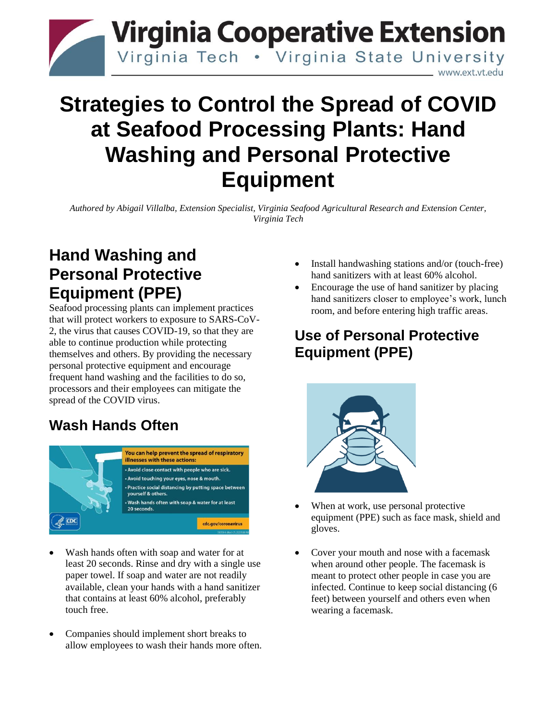

# **Strategies to Control the Spread of COVID at Seafood Processing Plants: Hand Washing and Personal Protective Equipment**

*Authored by Abigail Villalba, Extension Specialist, Virginia Seafood Agricultural Research and Extension Center, Virginia Tech*

## **Hand Washing and Personal Protective Equipment (PPE)**

Seafood processing plants can implement practices that will protect workers to exposure to SARS-CoV-2, the virus that causes COVID-19, so that they are able to continue production while protecting themselves and others. By providing the necessary personal protective equipment and encourage frequent hand washing and the facilities to do so, processors and their employees can mitigate the spread of the COVID virus.

## **Wash Hands Often**



- Wash hands often with soap and water for at least 20 seconds. Rinse and dry with a single use paper towel. If soap and water are not readily available, clean your hands with a hand sanitizer that contains at least 60% alcohol, preferably touch free.
- Companies should implement short breaks to allow employees to wash their hands more often.
- Install handwashing stations and/or (touch-free) hand sanitizers with at least 60% alcohol.
- Encourage the use of hand sanitizer by placing hand sanitizers closer to employee's work, lunch room, and before entering high traffic areas.

## **Use of Personal Protective Equipment (PPE)**



- When at work, use personal protective equipment (PPE) such as face mask, shield and gloves.
- Cover your mouth and nose with a facemask when around other people. The facemask is meant to protect other people in case you are infected. Continue to keep social distancing (6 feet) between yourself and others even when wearing a facemask.